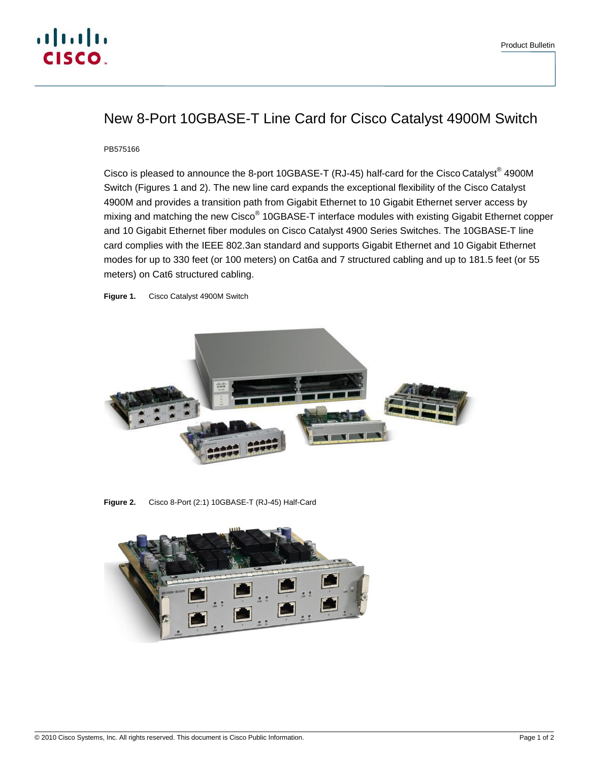## New 8-Port 10GBASE-T Line Card for Cisco Catalyst 4900M Switch

PB575166

Cisco is pleased to announce the 8-port 10GBASE-T (RJ-45) half-card for the Cisco Catalyst® 4900M Switch (Figures 1 and 2). The new line card expands the exceptional flexibility of the Cisco Catalyst 4900M and provides a transition path from Gigabit Ethernet to 10 Gigabit Ethernet server access by mixing and matching the new Cisco® 10GBASE-T interface modules with existing Gigabit Ethernet copper and 10 Gigabit Ethernet fiber modules on Cisco Catalyst 4900 Series Switches. The 10GBASE-T line card complies with the IEEE 802.3an standard and supports Gigabit Ethernet and 10 Gigabit Ethernet modes for up to 330 feet (or 100 meters) on Cat6a and 7 structured cabling and up to 181.5 feet (or 55 meters) on Cat6 structured cabling.

**Figure 1.** Cisco Catalyst 4900M Switch



**Figure 2.** Cisco 8-Port (2:1) 10GBASE-T (RJ-45) Half-Card